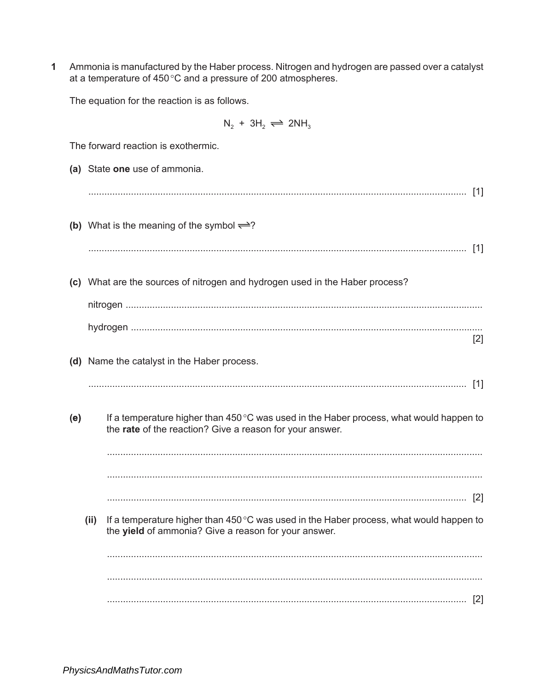1 Ammonia is manufactured by the Haber process. Nitrogen and hydrogen are passed over a catalyst at a temperature of 450 °C and a pressure of 200 atmospheres.

The equation for the reaction is as follows.

 $N_2 + 3H_2 \rightleftharpoons 2NH_3$ 

|     | The forward reaction is exothermic. |                                                                                                                                                          |  |
|-----|-------------------------------------|----------------------------------------------------------------------------------------------------------------------------------------------------------|--|
|     |                                     | (a) State one use of ammonia.                                                                                                                            |  |
|     |                                     |                                                                                                                                                          |  |
|     |                                     | (b) What is the meaning of the symbol $\rightleftharpoons ?$                                                                                             |  |
|     |                                     |                                                                                                                                                          |  |
|     |                                     | (c) What are the sources of nitrogen and hydrogen used in the Haber process?                                                                             |  |
|     |                                     |                                                                                                                                                          |  |
|     |                                     | $[2]$                                                                                                                                                    |  |
|     |                                     | (d) Name the catalyst in the Haber process.                                                                                                              |  |
|     |                                     |                                                                                                                                                          |  |
| (e) |                                     | If a temperature higher than 450 °C was used in the Haber process, what would happen to<br>the rate of the reaction? Give a reason for your answer.      |  |
|     |                                     |                                                                                                                                                          |  |
|     |                                     |                                                                                                                                                          |  |
|     |                                     |                                                                                                                                                          |  |
|     | (ii)                                | If a temperature higher than 450 $\degree$ C was used in the Haber process, what would happen to<br>the yield of ammonia? Give a reason for your answer. |  |
|     |                                     |                                                                                                                                                          |  |
|     |                                     |                                                                                                                                                          |  |
|     |                                     | $[2]$                                                                                                                                                    |  |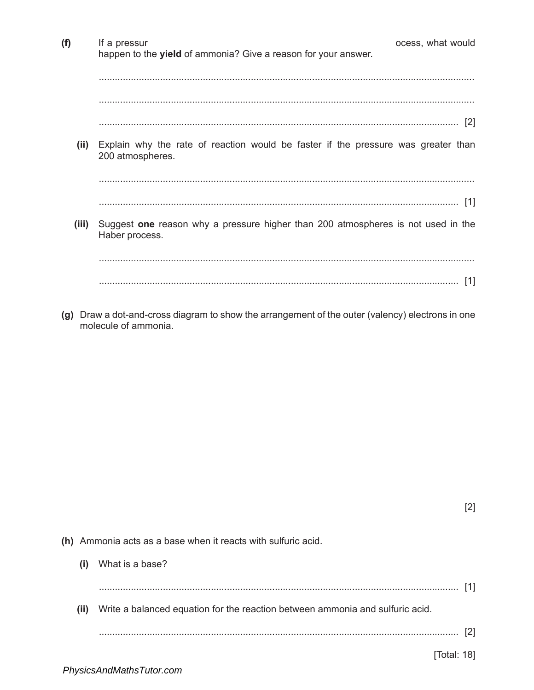| (f)   | If a pressur<br>happen to the yield of ammonia? Give a reason for your answer.                        | ocess, what would |
|-------|-------------------------------------------------------------------------------------------------------|-------------------|
|       |                                                                                                       |                   |
|       |                                                                                                       | [2]               |
| (ii)  | Explain why the rate of reaction would be faster if the pressure was greater than<br>200 atmospheres. |                   |
|       |                                                                                                       |                   |
|       |                                                                                                       | $\lceil 1 \rceil$ |
| (iii) | Suggest one reason why a pressure higher than 200 atmospheres is not used in the<br>Haber process.    |                   |
|       |                                                                                                       |                   |
|       |                                                                                                       | [1]               |

(g) Draw a dot-and-cross diagram to show the arrangement of the outer (valency) electrons in one molecule of ammonia.

- (h) Ammonia acts as a base when it reacts with sulfuric acid.
	- (i) What is a base? (ii) Write a balanced equation for the reaction between ammonia and sulfuric acid.  $[2] \centering \label{eq:3}$

 $[2]$ 

[Total: 18]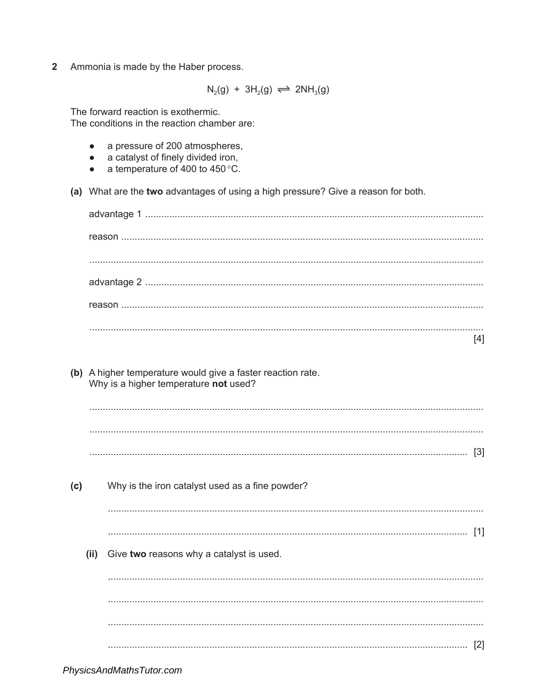$\overline{2}$ Ammonia is made by the Haber process.

 $N_2(g) + 3H_2(g) \rightleftharpoons 2NH_3(g)$ 

The forward reaction is exothermic. The conditions in the reaction chamber are:

- a pressure of 200 atmospheres.  $\bullet$
- a catalyst of finely divided iron,  $\bullet$
- a temperature of 400 to 450 °C.  $\bullet$
- (a) What are the two advantages of using a high pressure? Give a reason for both.

|                                                         | [4] |
|---------------------------------------------------------|-----|
| A higher temperature would give a faster reaction rate. |     |

- $(b)$ Why is a higher temperature not used?
	-
- $(c)$ Why is the iron catalyst used as a fine powder? (ii) Give two reasons why a catalyst is used.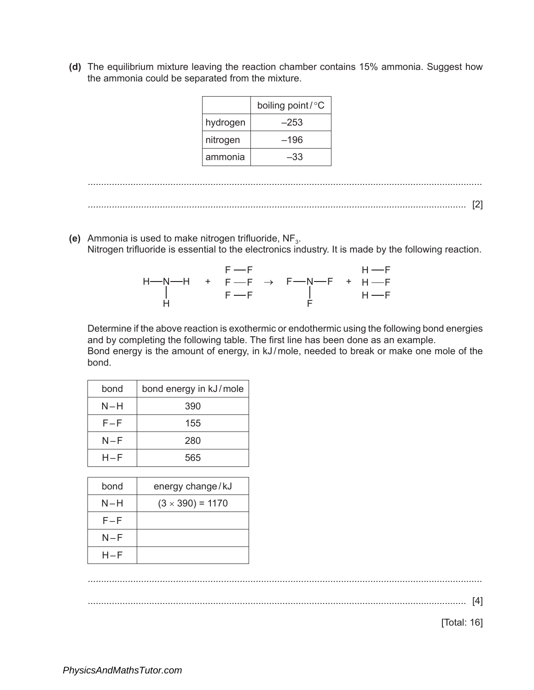**(d)** The equilibrium mixture leaving the reaction chamber contains 15% ammonia. Suggest how the ammonia could be separated from the mixture.

|          | boiling point/°C |
|----------|------------------|
| hydrogen | –253             |
| nitrogen | –196             |
| ammonia  | -33              |

| . |
|---|
| - |

**(e)** Ammonia is used to make nitrogen trifluoride, NF<sub>3</sub>. Nitrogen trifluoride is essential to the electronics industry. It is made by the following reaction.

|  | $F \rightarrow F$ |                                                        | $H \rightarrow F$ |
|--|-------------------|--------------------------------------------------------|-------------------|
|  |                   | $H - N - H$ + F $-F$ $\rightarrow$ F $-N - F$ + H $-F$ |                   |
|  | $F \rightarrow F$ |                                                        | $H \rightarrow F$ |
|  |                   |                                                        |                   |

Determine if the above reaction is exothermic or endothermic using the following bond energies and by completing the following table. The first line has been done as an example. Bond energy is the amount of energy, in kJ/mole, needed to break or make one mole of the bond.

| bond    | bond energy in kJ/mole |
|---------|------------------------|
| N-H     | 390                    |
| $F - F$ | 155                    |
| N-F     | 280                    |
| $H - F$ | 565                    |

| bond  | energy change/kJ        |
|-------|-------------------------|
| $N-H$ | $(3 \times 390) = 1170$ |
| F-F   |                         |
| N-F   |                         |
| H–F   |                         |

....................................................................................................................................................

.............................................................................................................................................. [4]

[Total: 16]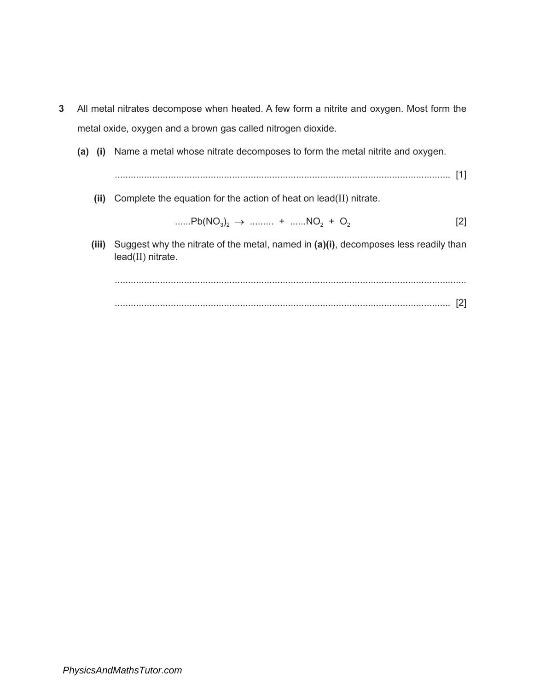- **3** All metal nitrates decompose when heated. A few form a nitrite and oxygen. Most form the metal oxide, oxygen and a brown gas called nitrogen dioxide.
	- **(a) (i)** Name a metal whose nitrate decomposes to form the metal nitrite and oxygen.

.............................................................................................................................. [1]

**(ii)** Complete the equation for the action of heat on lead(II) nitrate.

$$
\dots Pb(NO_3)_2 \rightarrow \dots \dots \rightarrow \dots NO_2 + O_2 \tag{2}
$$

**(iii)** Suggest why the nitrate of the metal, named in **(a)(i)**, decomposes less readily than lead(II) nitrate.

 .................................................................................................................................... .............................................................................................................................. [2]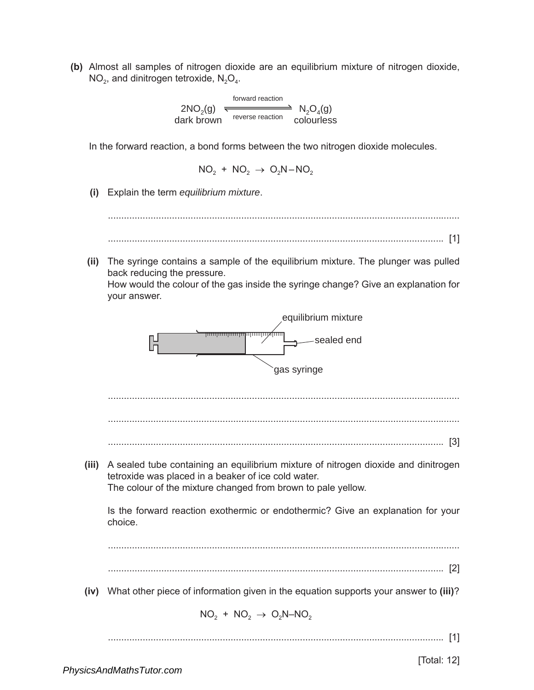**(b)** Almost all samples of nitrogen dioxide are an equilibrium mixture of nitrogen dioxide,  $NO<sub>2</sub>$ , and dinitrogen tetroxide,  $N<sub>2</sub>O<sub>4</sub>$ .

$$
2NO2(g)
$$
\n
$$
1 O2(g)
$$
\n
$$
1 O2(g)
$$
\n
$$
1 O2(g)
$$
\n
$$
1 O2(g)
$$
\n
$$
1 O2(g)
$$
\n
$$
1 O2(g)
$$
\n
$$
1 O2(g)
$$
\n
$$
1 O2(g)
$$
\n
$$
1 O2(g)
$$
\n
$$
1 O2(g)
$$

In the forward reaction, a bond forms between the two nitrogen dioxide molecules.

$$
\mathrm{NO_2~+~NO_2~\rightarrow~O_2N\!-\!NO_2}
$$

**(i)** Explain the term *equilibrium mixture*.

....................................................................................................................................

- .............................................................................................................................. [1]
- **(ii)** The syringe contains a sample of the equilibrium mixture. The plunger was pulled back reducing the pressure.

How would the colour of the gas inside the syringe change? Give an explanation for your answer.

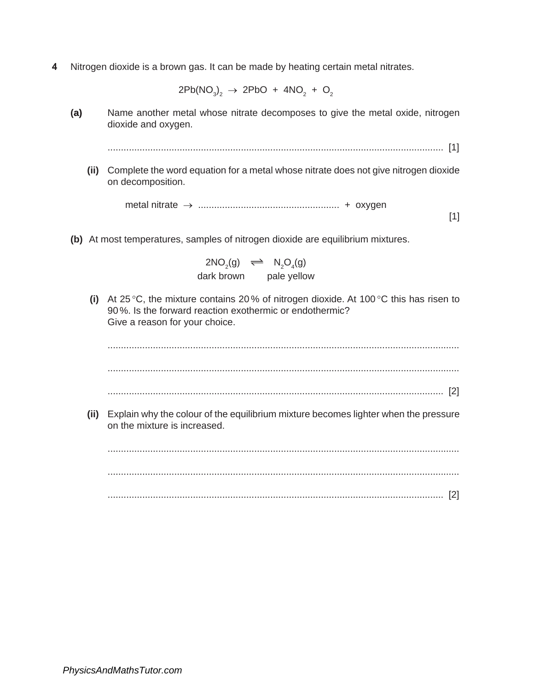**4** Nitrogen dioxide is a brown gas. It can be made by heating certain metal nitrates.

 $2\mathsf{Pb}(\mathsf{NO}_3)_2 \rightarrow 2\mathsf{PbO} + 4\mathsf{NO}_2 + \mathsf{O}_2$ 

**(a)** Name another metal whose nitrate decomposes to give the metal oxide, nitrogen dioxide and oxygen.

.............................................................................................................................. [1]

**(ii)** Complete the word equation for a metal whose nitrate does not give nitrogen dioxide on decomposition.

> metal nitrate → ..................................................... + oxygen [1]

**(b)** At most temperatures, samples of nitrogen dioxide are equilibrium mixtures.

 $2NO_2(g) \implies N_2O_4(g)$ dark brown pale yellow

**(i)** At 25 °C, the mixture contains 20 % of nitrogen dioxide. At 100 °C this has risen to 90%. Is the forward reaction exothermic or endothermic? Give a reason for your choice.

.................................................................................................................................... .................................................................................................................................... .............................................................................................................................. [2]

**(ii)** Explain why the colour of the equilibrium mixture becomes lighter when the pressure on the mixture is increased.

.................................................................................................................................... .................................................................................................................................... .............................................................................................................................. [2]